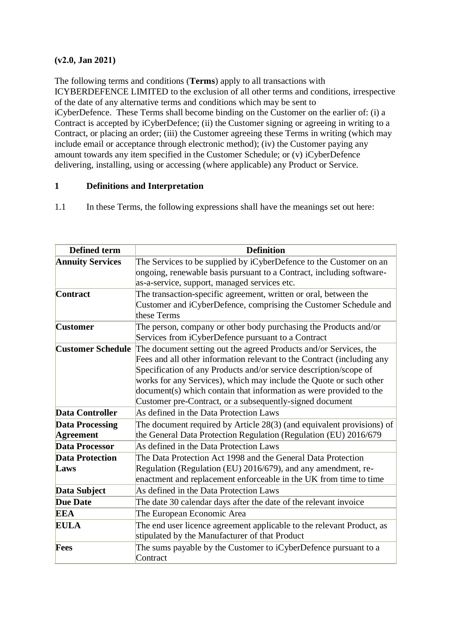#### **(v2.0, Jan 2021)**

The following terms and conditions (**Terms**) apply to all transactions with ICYBERDEFENCE LIMITED to the exclusion of all other terms and conditions, irrespective of the date of any alternative terms and conditions which may be sent to iCyberDefence. These Terms shall become binding on the Customer on the earlier of: (i) a Contract is accepted by iCyberDefence; (ii) the Customer signing or agreeing in writing to a Contract, or placing an order; (iii) the Customer agreeing these Terms in writing (which may include email or acceptance through electronic method); (iv) the Customer paying any amount towards any item specified in the Customer Schedule; or (v) iCyberDefence delivering, installing, using or accessing (where applicable) any Product or Service.

#### **1 Definitions and Interpretation**

1.1 In these Terms, the following expressions shall have the meanings set out here:

| <b>Defined term</b>      | <b>Definition</b>                                                      |
|--------------------------|------------------------------------------------------------------------|
| <b>Annuity Services</b>  | The Services to be supplied by iCyberDefence to the Customer on an     |
|                          | ongoing, renewable basis pursuant to a Contract, including software-   |
|                          | as-a-service, support, managed services etc.                           |
| <b>Contract</b>          | The transaction-specific agreement, written or oral, between the       |
|                          | Customer and iCyberDefence, comprising the Customer Schedule and       |
|                          | these Terms                                                            |
| <b>Customer</b>          | The person, company or other body purchasing the Products and/or       |
|                          | Services from iCyberDefence pursuant to a Contract                     |
| <b>Customer Schedule</b> | The document setting out the agreed Products and/or Services, the      |
|                          | Fees and all other information relevant to the Contract (including any |
|                          | Specification of any Products and/or service description/scope of      |
|                          | works for any Services), which may include the Quote or such other     |
|                          | document(s) which contain that information as were provided to the     |
|                          | Customer pre-Contract, or a subsequently-signed document               |
| <b>Data Controller</b>   | As defined in the Data Protection Laws                                 |
| <b>Data Processing</b>   | The document required by Article 28(3) (and equivalent provisions) of  |
| <b>Agreement</b>         | the General Data Protection Regulation (Regulation (EU) 2016/679       |
| <b>Data Processor</b>    | As defined in the Data Protection Laws                                 |
| <b>Data Protection</b>   | The Data Protection Act 1998 and the General Data Protection           |
| Laws                     | Regulation (Regulation (EU) 2016/679), and any amendment, re-          |
|                          | enactment and replacement enforceable in the UK from time to time      |
| Data Subject             | As defined in the Data Protection Laws                                 |
| <b>Due Date</b>          | The date 30 calendar days after the date of the relevant invoice       |
| <b>EEA</b>               | The European Economic Area                                             |
| <b>EULA</b>              | The end user licence agreement applicable to the relevant Product, as  |
|                          | stipulated by the Manufacturer of that Product                         |
| Fees                     | The sums payable by the Customer to iCyberDefence pursuant to a        |
|                          | Contract                                                               |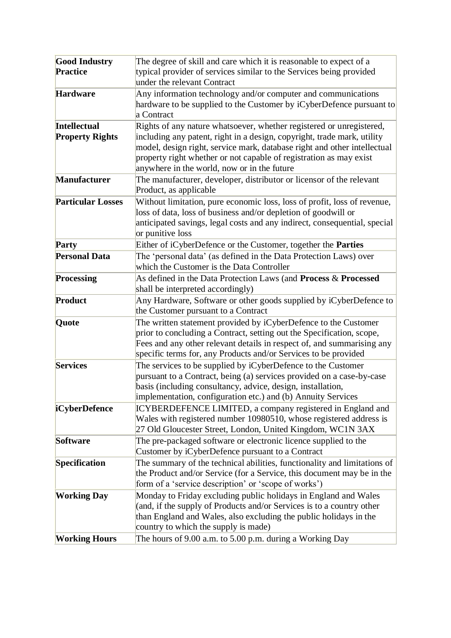| <b>Good Industry</b>     | The degree of skill and care which it is reasonable to expect of a                                                                        |
|--------------------------|-------------------------------------------------------------------------------------------------------------------------------------------|
| <b>Practice</b>          | typical provider of services similar to the Services being provided                                                                       |
|                          | under the relevant Contract                                                                                                               |
| <b>Hardware</b>          | Any information technology and/or computer and communications                                                                             |
|                          | hardware to be supplied to the Customer by iCyberDefence pursuant to                                                                      |
|                          | a Contract                                                                                                                                |
| <b>Intellectual</b>      | Rights of any nature whatsoever, whether registered or unregistered,                                                                      |
| <b>Property Rights</b>   | including any patent, right in a design, copyright, trade mark, utility                                                                   |
|                          | model, design right, service mark, database right and other intellectual                                                                  |
|                          | property right whether or not capable of registration as may exist                                                                        |
|                          | anywhere in the world, now or in the future                                                                                               |
| Manufacturer             | The manufacturer, developer, distributor or licensor of the relevant                                                                      |
|                          | Product, as applicable                                                                                                                    |
| <b>Particular Losses</b> | Without limitation, pure economic loss, loss of profit, loss of revenue,                                                                  |
|                          | loss of data, loss of business and/or depletion of goodwill or                                                                            |
|                          | anticipated savings, legal costs and any indirect, consequential, special                                                                 |
|                          | or punitive loss                                                                                                                          |
| Party                    | Either of iCyberDefence or the Customer, together the Parties                                                                             |
| <b>Personal Data</b>     | The 'personal data' (as defined in the Data Protection Laws) over                                                                         |
|                          | which the Customer is the Data Controller                                                                                                 |
| Processing               | As defined in the Data Protection Laws (and Process & Processed                                                                           |
|                          | shall be interpreted accordingly)                                                                                                         |
| Product                  | Any Hardware, Software or other goods supplied by iCyberDefence to                                                                        |
|                          | the Customer pursuant to a Contract                                                                                                       |
| Quote                    | The written statement provided by iCyberDefence to the Customer                                                                           |
|                          | prior to concluding a Contract, setting out the Specification, scope,                                                                     |
|                          | Fees and any other relevant details in respect of, and summarising any<br>specific terms for, any Products and/or Services to be provided |
| <b>Services</b>          | The services to be supplied by iCyberDefence to the Customer                                                                              |
|                          | pursuant to a Contract, being (a) services provided on a case-by-case                                                                     |
|                          | basis (including consultancy, advice, design, installation,                                                                               |
|                          | implementation, configuration etc.) and (b) Annuity Services                                                                              |
| <i>i</i> CyberDefence    | ICYBERDEFENCE LIMITED, a company registered in England and                                                                                |
|                          | Wales with registered number 10980510, whose registered address is                                                                        |
|                          | 27 Old Gloucester Street, London, United Kingdom, WC1N 3AX                                                                                |
| <b>Software</b>          | The pre-packaged software or electronic licence supplied to the                                                                           |
|                          | Customer by iCyberDefence pursuant to a Contract                                                                                          |
| Specification            | The summary of the technical abilities, functionality and limitations of                                                                  |
|                          | the Product and/or Service (for a Service, this document may be in the                                                                    |
|                          | form of a 'service description' or 'scope of works')                                                                                      |
| <b>Working Day</b>       | Monday to Friday excluding public holidays in England and Wales                                                                           |
|                          | (and, if the supply of Products and/or Services is to a country other                                                                     |
|                          | than England and Wales, also excluding the public holidays in the                                                                         |
|                          | country to which the supply is made)                                                                                                      |
| <b>Working Hours</b>     | The hours of 9.00 a.m. to 5.00 p.m. during a Working Day                                                                                  |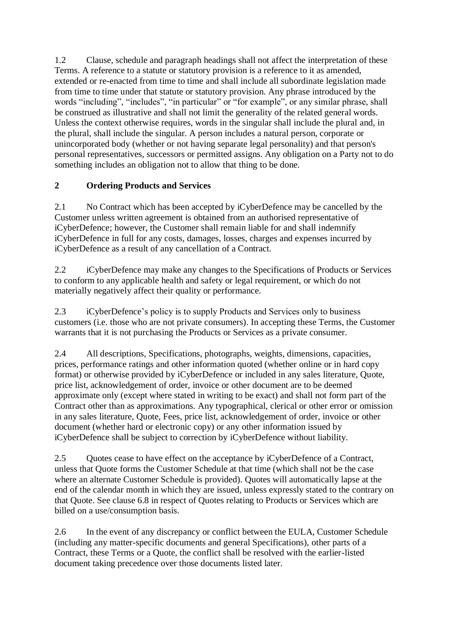1.2 Clause, schedule and paragraph headings shall not affect the interpretation of these Terms. A reference to a statute or statutory provision is a reference to it as amended, extended or re-enacted from time to time and shall include all subordinate legislation made from time to time under that statute or statutory provision. Any phrase introduced by the words "including", "includes", "in particular" or "for example", or any similar phrase, shall be construed as illustrative and shall not limit the generality of the related general words. Unless the context otherwise requires, words in the singular shall include the plural and, in the plural, shall include the singular. A person includes a natural person, corporate or unincorporated body (whether or not having separate legal personality) and that person's personal representatives, successors or permitted assigns. Any obligation on a Party not to do something includes an obligation not to allow that thing to be done.

# **2 Ordering Products and Services**

2.1 No Contract which has been accepted by iCyberDefence may be cancelled by the Customer unless written agreement is obtained from an authorised representative of iCyberDefence; however, the Customer shall remain liable for and shall indemnify iCyberDefence in full for any costs, damages, losses, charges and expenses incurred by iCyberDefence as a result of any cancellation of a Contract.

2.2 iCyberDefence may make any changes to the Specifications of Products or Services to conform to any applicable health and safety or legal requirement, or which do not materially negatively affect their quality or performance.

2.3 iCyberDefence's policy is to supply Products and Services only to business customers (i.e. those who are not private consumers). In accepting these Terms, the Customer warrants that it is not purchasing the Products or Services as a private consumer.

2.4 All descriptions, Specifications, photographs, weights, dimensions, capacities, prices, performance ratings and other information quoted (whether online or in hard copy format) or otherwise provided by iCyberDefence or included in any sales literature, Quote, price list, acknowledgement of order, invoice or other document are to be deemed approximate only (except where stated in writing to be exact) and shall not form part of the Contract other than as approximations. Any typographical, clerical or other error or omission in any sales literature, Quote, Fees, price list, acknowledgement of order, invoice or other document (whether hard or electronic copy) or any other information issued by iCyberDefence shall be subject to correction by iCyberDefence without liability.

2.5 Quotes cease to have effect on the acceptance by iCyberDefence of a Contract, unless that Quote forms the Customer Schedule at that time (which shall not be the case where an alternate Customer Schedule is provided). Quotes will automatically lapse at the end of the calendar month in which they are issued, unless expressly stated to the contrary on that Quote. See clause 6.8 in respect of Quotes relating to Products or Services which are billed on a use/consumption basis.

2.6 In the event of any discrepancy or conflict between the EULA, Customer Schedule (including any matter-specific documents and general Specifications), other parts of a Contract, these Terms or a Quote, the conflict shall be resolved with the earlier-listed document taking precedence over those documents listed later.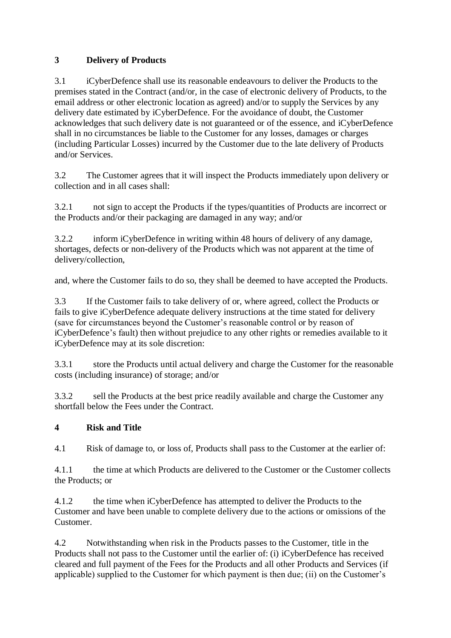# **3 Delivery of Products**

3.1 iCyberDefence shall use its reasonable endeavours to deliver the Products to the premises stated in the Contract (and/or, in the case of electronic delivery of Products, to the email address or other electronic location as agreed) and/or to supply the Services by any delivery date estimated by iCyberDefence. For the avoidance of doubt, the Customer acknowledges that such delivery date is not guaranteed or of the essence, and iCyberDefence shall in no circumstances be liable to the Customer for any losses, damages or charges (including Particular Losses) incurred by the Customer due to the late delivery of Products and/or Services.

3.2 The Customer agrees that it will inspect the Products immediately upon delivery or collection and in all cases shall:

3.2.1 not sign to accept the Products if the types/quantities of Products are incorrect or the Products and/or their packaging are damaged in any way; and/or

3.2.2 inform iCyberDefence in writing within 48 hours of delivery of any damage, shortages, defects or non-delivery of the Products which was not apparent at the time of delivery/collection,

and, where the Customer fails to do so, they shall be deemed to have accepted the Products.

3.3 If the Customer fails to take delivery of or, where agreed, collect the Products or fails to give iCyberDefence adequate delivery instructions at the time stated for delivery (save for circumstances beyond the Customer's reasonable control or by reason of iCyberDefence's fault) then without prejudice to any other rights or remedies available to it iCyberDefence may at its sole discretion:

3.3.1 store the Products until actual delivery and charge the Customer for the reasonable costs (including insurance) of storage; and/or

3.3.2 sell the Products at the best price readily available and charge the Customer any shortfall below the Fees under the Contract.

### **4 Risk and Title**

4.1 Risk of damage to, or loss of, Products shall pass to the Customer at the earlier of:

4.1.1 the time at which Products are delivered to the Customer or the Customer collects the Products; or

4.1.2 the time when iCyberDefence has attempted to deliver the Products to the Customer and have been unable to complete delivery due to the actions or omissions of the Customer.

4.2 Notwithstanding when risk in the Products passes to the Customer, title in the Products shall not pass to the Customer until the earlier of: (i) iCyberDefence has received cleared and full payment of the Fees for the Products and all other Products and Services (if applicable) supplied to the Customer for which payment is then due; (ii) on the Customer's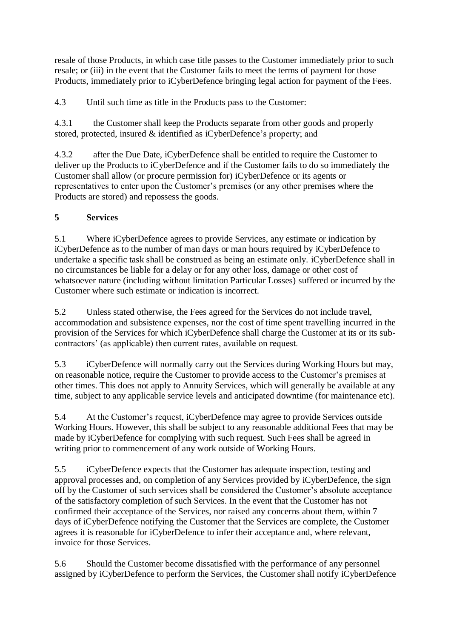resale of those Products, in which case title passes to the Customer immediately prior to such resale; or (iii) in the event that the Customer fails to meet the terms of payment for those Products, immediately prior to iCyberDefence bringing legal action for payment of the Fees.

4.3 Until such time as title in the Products pass to the Customer:

4.3.1 the Customer shall keep the Products separate from other goods and properly stored, protected, insured & identified as iCyberDefence's property; and

4.3.2 after the Due Date, iCyberDefence shall be entitled to require the Customer to deliver up the Products to iCyberDefence and if the Customer fails to do so immediately the Customer shall allow (or procure permission for) iCyberDefence or its agents or representatives to enter upon the Customer's premises (or any other premises where the Products are stored) and repossess the goods.

# **5 Services**

5.1 Where iCyberDefence agrees to provide Services, any estimate or indication by iCyberDefence as to the number of man days or man hours required by iCyberDefence to undertake a specific task shall be construed as being an estimate only. iCyberDefence shall in no circumstances be liable for a delay or for any other loss, damage or other cost of whatsoever nature (including without limitation Particular Losses) suffered or incurred by the Customer where such estimate or indication is incorrect.

5.2 Unless stated otherwise, the Fees agreed for the Services do not include travel, accommodation and subsistence expenses, nor the cost of time spent travelling incurred in the provision of the Services for which iCyberDefence shall charge the Customer at its or its subcontractors' (as applicable) then current rates, available on request.

5.3 iCyberDefence will normally carry out the Services during Working Hours but may, on reasonable notice, require the Customer to provide access to the Customer's premises at other times. This does not apply to Annuity Services, which will generally be available at any time, subject to any applicable service levels and anticipated downtime (for maintenance etc).

5.4 At the Customer's request, iCyberDefence may agree to provide Services outside Working Hours. However, this shall be subject to any reasonable additional Fees that may be made by iCyberDefence for complying with such request. Such Fees shall be agreed in writing prior to commencement of any work outside of Working Hours.

5.5 iCyberDefence expects that the Customer has adequate inspection, testing and approval processes and, on completion of any Services provided by iCyberDefence, the sign off by the Customer of such services shall be considered the Customer's absolute acceptance of the satisfactory completion of such Services. In the event that the Customer has not confirmed their acceptance of the Services, nor raised any concerns about them, within 7 days of iCyberDefence notifying the Customer that the Services are complete, the Customer agrees it is reasonable for iCyberDefence to infer their acceptance and, where relevant, invoice for those Services.

5.6 Should the Customer become dissatisfied with the performance of any personnel assigned by iCyberDefence to perform the Services, the Customer shall notify iCyberDefence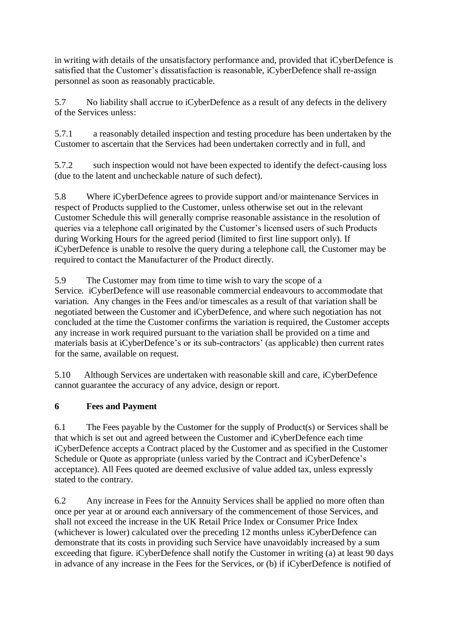in writing with details of the unsatisfactory performance and, provided that iCyberDefence is satisfied that the Customer's dissatisfaction is reasonable, iCyberDefence shall re-assign personnel as soon as reasonably practicable.

5.7 No liability shall accrue to iCyberDefence as a result of any defects in the delivery of the Services unless:

5.7.1 a reasonably detailed inspection and testing procedure has been undertaken by the Customer to ascertain that the Services had been undertaken correctly and in full, and

5.7.2 such inspection would not have been expected to identify the defect-causing loss (due to the latent and uncheckable nature of such defect).

5.8 Where iCyberDefence agrees to provide support and/or maintenance Services in respect of Products supplied to the Customer, unless otherwise set out in the relevant Customer Schedule this will generally comprise reasonable assistance in the resolution of queries via a telephone call originated by the Customer's licensed users of such Products during Working Hours for the agreed period (limited to first line support only). If iCyberDefence is unable to resolve the query during a telephone call, the Customer may be required to contact the Manufacturer of the Product directly.

5.9 The Customer may from time to time wish to vary the scope of a Service. iCyberDefence will use reasonable commercial endeavours to accommodate that variation. Any changes in the Fees and/or timescales as a result of that variation shall be negotiated between the Customer and iCyberDefence, and where such negotiation has not concluded at the time the Customer confirms the variation is required, the Customer accepts any increase in work required pursuant to the variation shall be provided on a time and materials basis at iCyberDefence's or its sub-contractors' (as applicable) then current rates for the same, available on request.

5.10 Although Services are undertaken with reasonable skill and care, iCyberDefence cannot guarantee the accuracy of any advice, design or report.

### **6 Fees and Payment**

6.1 The Fees payable by the Customer for the supply of Product(s) or Services shall be that which is set out and agreed between the Customer and iCyberDefence each time iCyberDefence accepts a Contract placed by the Customer and as specified in the Customer Schedule or Quote as appropriate (unless varied by the Contract and iCyberDefence's acceptance). All Fees quoted are deemed exclusive of value added tax, unless expressly stated to the contrary.

6.2 Any increase in Fees for the Annuity Services shall be applied no more often than once per year at or around each anniversary of the commencement of those Services, and shall not exceed the increase in the UK Retail Price Index or Consumer Price Index (whichever is lower) calculated over the preceding 12 months unless iCyberDefence can demonstrate that its costs in providing such Service have unavoidably increased by a sum exceeding that figure. iCyberDefence shall notify the Customer in writing (a) at least 90 days in advance of any increase in the Fees for the Services, or (b) if iCyberDefence is notified of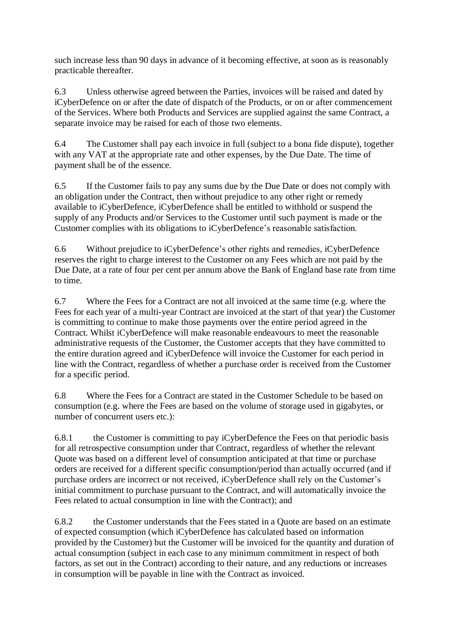such increase less than 90 days in advance of it becoming effective, at soon as is reasonably practicable thereafter.

6.3 Unless otherwise agreed between the Parties, invoices will be raised and dated by iCyberDefence on or after the date of dispatch of the Products, or on or after commencement of the Services. Where both Products and Services are supplied against the same Contract, a separate invoice may be raised for each of those two elements.

6.4 The Customer shall pay each invoice in full (subject to a bona fide dispute), together with any VAT at the appropriate rate and other expenses, by the Due Date. The time of payment shall be of the essence.

6.5 If the Customer fails to pay any sums due by the Due Date or does not comply with an obligation under the Contract, then without prejudice to any other right or remedy available to iCyberDefence, iCyberDefence shall be entitled to withhold or suspend the supply of any Products and/or Services to the Customer until such payment is made or the Customer complies with its obligations to iCyberDefence's reasonable satisfaction.

6.6 Without prejudice to iCyberDefence's other rights and remedies, iCyberDefence reserves the right to charge interest to the Customer on any Fees which are not paid by the Due Date, at a rate of four per cent per annum above the Bank of England base rate from time to time.

6.7 Where the Fees for a Contract are not all invoiced at the same time (e.g. where the Fees for each year of a multi-year Contract are invoiced at the start of that year) the Customer is committing to continue to make those payments over the entire period agreed in the Contract. Whilst iCyberDefence will make reasonable endeavours to meet the reasonable administrative requests of the Customer, the Customer accepts that they have committed to the entire duration agreed and iCyberDefence will invoice the Customer for each period in line with the Contract, regardless of whether a purchase order is received from the Customer for a specific period.

6.8 Where the Fees for a Contract are stated in the Customer Schedule to be based on consumption (e.g. where the Fees are based on the volume of storage used in gigabytes, or number of concurrent users etc.):

6.8.1 the Customer is committing to pay iCyberDefence the Fees on that periodic basis for all retrospective consumption under that Contract, regardless of whether the relevant Quote was based on a different level of consumption anticipated at that time or purchase orders are received for a different specific consumption/period than actually occurred (and if purchase orders are incorrect or not received, iCyberDefence shall rely on the Customer's initial commitment to purchase pursuant to the Contract, and will automatically invoice the Fees related to actual consumption in line with the Contract); and

6.8.2 the Customer understands that the Fees stated in a Quote are based on an estimate of expected consumption (which iCyberDefence has calculated based on information provided by the Customer) but the Customer will be invoiced for the quantity and duration of actual consumption (subject in each case to any minimum commitment in respect of both factors, as set out in the Contract) according to their nature, and any reductions or increases in consumption will be payable in line with the Contract as invoiced.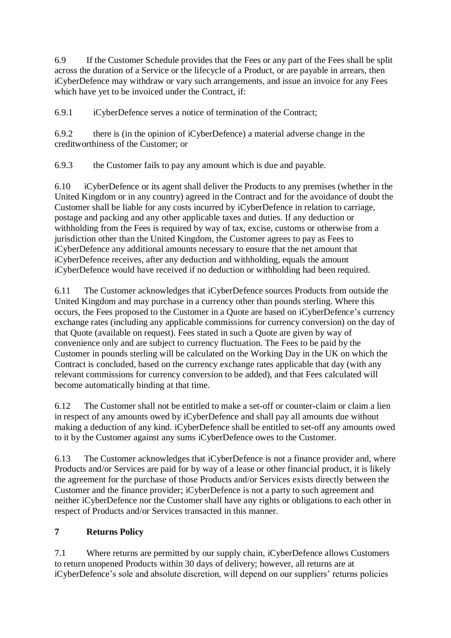6.9 If the Customer Schedule provides that the Fees or any part of the Fees shall be split across the duration of a Service or the lifecycle of a Product, or are payable in arrears, then iCyberDefence may withdraw or vary such arrangements, and issue an invoice for any Fees which have yet to be invoiced under the Contract, if:

6.9.1 iCyberDefence serves a notice of termination of the Contract;

6.9.2 there is (in the opinion of iCyberDefence) a material adverse change in the creditworthiness of the Customer; or

6.9.3 the Customer fails to pay any amount which is due and payable.

6.10 iCyberDefence or its agent shall deliver the Products to any premises (whether in the United Kingdom or in any country) agreed in the Contract and for the avoidance of doubt the Customer shall be liable for any costs incurred by iCyberDefence in relation to carriage, postage and packing and any other applicable taxes and duties. If any deduction or withholding from the Fees is required by way of tax, excise, customs or otherwise from a jurisdiction other than the United Kingdom, the Customer agrees to pay as Fees to iCyberDefence any additional amounts necessary to ensure that the net amount that iCyberDefence receives, after any deduction and withholding, equals the amount iCyberDefence would have received if no deduction or withholding had been required.

6.11 The Customer acknowledges that iCyberDefence sources Products from outside the United Kingdom and may purchase in a currency other than pounds sterling. Where this occurs, the Fees proposed to the Customer in a Quote are based on iCyberDefence's currency exchange rates (including any applicable commissions for currency conversion) on the day of that Quote (available on request). Fees stated in such a Quote are given by way of convenience only and are subject to currency fluctuation. The Fees to be paid by the Customer in pounds sterling will be calculated on the Working Day in the UK on which the Contract is concluded, based on the currency exchange rates applicable that day (with any relevant commissions for currency conversion to be added), and that Fees calculated will become automatically binding at that time.

6.12 The Customer shall not be entitled to make a set-off or counter-claim or claim a lien in respect of any amounts owed by iCyberDefence and shall pay all amounts due without making a deduction of any kind. iCyberDefence shall be entitled to set-off any amounts owed to it by the Customer against any sums iCyberDefence owes to the Customer.

6.13 The Customer acknowledges that iCyberDefence is not a finance provider and, where Products and/or Services are paid for by way of a lease or other financial product, it is likely the agreement for the purchase of those Products and/or Services exists directly between the Customer and the finance provider; iCyberDefence is not a party to such agreement and neither iCyberDefence nor the Customer shall have any rights or obligations to each other in respect of Products and/or Services transacted in this manner.

### **7 Returns Policy**

7.1 Where returns are permitted by our supply chain, iCyberDefence allows Customers to return unopened Products within 30 days of delivery; however, all returns are at iCyberDefence's sole and absolute discretion, will depend on our suppliers' returns policies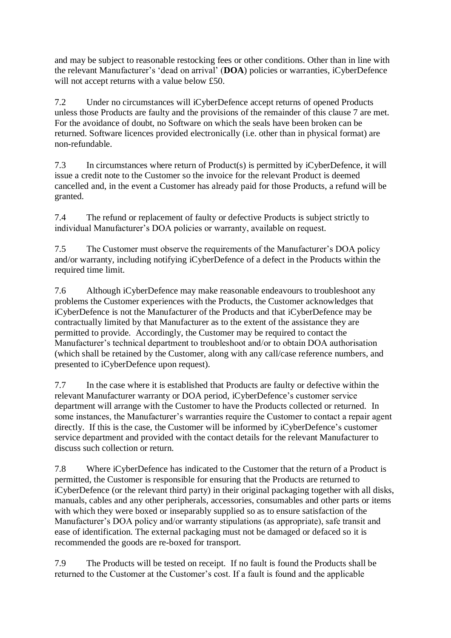and may be subject to reasonable restocking fees or other conditions. Other than in line with the relevant Manufacturer's 'dead on arrival' (**DOA**) policies or warranties, iCyberDefence will not accept returns with a value below £50.

7.2 Under no circumstances will iCyberDefence accept returns of opened Products unless those Products are faulty and the provisions of the remainder of this clause 7 are met. For the avoidance of doubt, no Software on which the seals have been broken can be returned. Software licences provided electronically (i.e. other than in physical format) are non-refundable.

7.3 In circumstances where return of Product(s) is permitted by iCyberDefence, it will issue a credit note to the Customer so the invoice for the relevant Product is deemed cancelled and, in the event a Customer has already paid for those Products, a refund will be granted.

7.4 The refund or replacement of faulty or defective Products is subject strictly to individual Manufacturer's DOA policies or warranty, available on request.

7.5 The Customer must observe the requirements of the Manufacturer's DOA policy and/or warranty, including notifying iCyberDefence of a defect in the Products within the required time limit.

7.6 Although iCyberDefence may make reasonable endeavours to troubleshoot any problems the Customer experiences with the Products, the Customer acknowledges that iCyberDefence is not the Manufacturer of the Products and that iCyberDefence may be contractually limited by that Manufacturer as to the extent of the assistance they are permitted to provide. Accordingly, the Customer may be required to contact the Manufacturer's technical department to troubleshoot and/or to obtain DOA authorisation (which shall be retained by the Customer, along with any call/case reference numbers, and presented to iCyberDefence upon request).

7.7 In the case where it is established that Products are faulty or defective within the relevant Manufacturer warranty or DOA period, iCyberDefence's customer service department will arrange with the Customer to have the Products collected or returned. In some instances, the Manufacturer's warranties require the Customer to contact a repair agent directly. If this is the case, the Customer will be informed by iCyberDefence's customer service department and provided with the contact details for the relevant Manufacturer to discuss such collection or return.

7.8 Where iCyberDefence has indicated to the Customer that the return of a Product is permitted, the Customer is responsible for ensuring that the Products are returned to iCyberDefence (or the relevant third party) in their original packaging together with all disks, manuals, cables and any other peripherals, accessories, consumables and other parts or items with which they were boxed or inseparably supplied so as to ensure satisfaction of the Manufacturer's DOA policy and/or warranty stipulations (as appropriate), safe transit and ease of identification. The external packaging must not be damaged or defaced so it is recommended the goods are re-boxed for transport.

7.9 The Products will be tested on receipt. If no fault is found the Products shall be returned to the Customer at the Customer's cost. If a fault is found and the applicable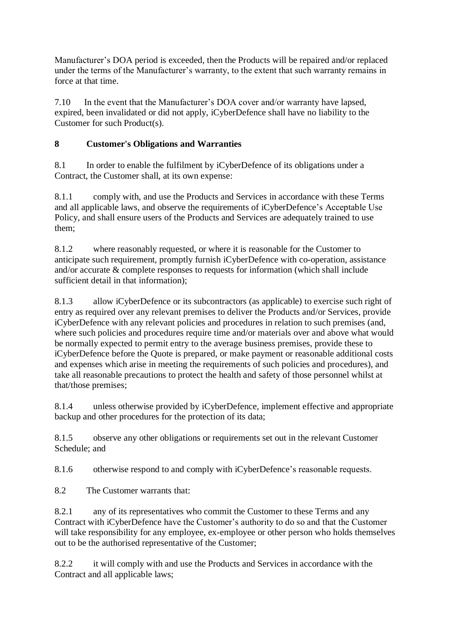Manufacturer's DOA period is exceeded, then the Products will be repaired and/or replaced under the terms of the Manufacturer's warranty, to the extent that such warranty remains in force at that time.

7.10 In the event that the Manufacturer's DOA cover and/or warranty have lapsed, expired, been invalidated or did not apply, iCyberDefence shall have no liability to the Customer for such Product(s).

# **8 Customer's Obligations and Warranties**

8.1 In order to enable the fulfilment by iCyberDefence of its obligations under a Contract, the Customer shall, at its own expense:

8.1.1 comply with, and use the Products and Services in accordance with these Terms and all applicable laws, and observe the requirements of iCyberDefence's Acceptable Use Policy, and shall ensure users of the Products and Services are adequately trained to use them;

8.1.2 where reasonably requested, or where it is reasonable for the Customer to anticipate such requirement, promptly furnish iCyberDefence with co-operation, assistance and/or accurate & complete responses to requests for information (which shall include sufficient detail in that information);

8.1.3 allow iCyberDefence or its subcontractors (as applicable) to exercise such right of entry as required over any relevant premises to deliver the Products and/or Services, provide iCyberDefence with any relevant policies and procedures in relation to such premises (and, where such policies and procedures require time and/or materials over and above what would be normally expected to permit entry to the average business premises, provide these to iCyberDefence before the Quote is prepared, or make payment or reasonable additional costs and expenses which arise in meeting the requirements of such policies and procedures), and take all reasonable precautions to protect the health and safety of those personnel whilst at that/those premises;

8.1.4 unless otherwise provided by iCyberDefence, implement effective and appropriate backup and other procedures for the protection of its data;

8.1.5 observe any other obligations or requirements set out in the relevant Customer Schedule; and

8.1.6 otherwise respond to and comply with iCyberDefence's reasonable requests.

8.2 The Customer warrants that:

8.2.1 any of its representatives who commit the Customer to these Terms and any Contract with iCyberDefence have the Customer's authority to do so and that the Customer will take responsibility for any employee, ex-employee or other person who holds themselves out to be the authorised representative of the Customer;

8.2.2 it will comply with and use the Products and Services in accordance with the Contract and all applicable laws;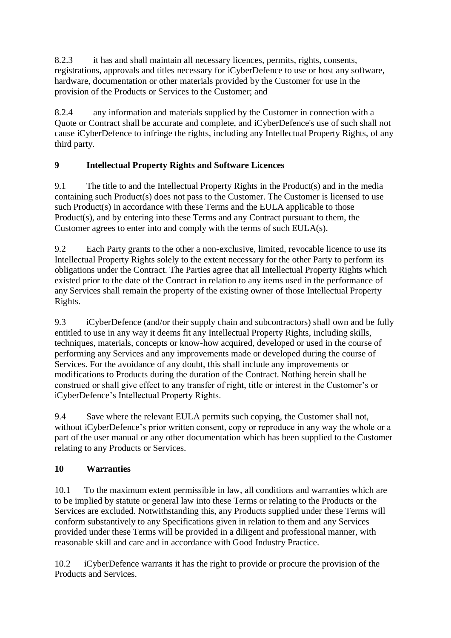8.2.3 it has and shall maintain all necessary licences, permits, rights, consents, registrations, approvals and titles necessary for iCyberDefence to use or host any software, hardware, documentation or other materials provided by the Customer for use in the provision of the Products or Services to the Customer; and

8.2.4 any information and materials supplied by the Customer in connection with a Quote or Contract shall be accurate and complete, and iCyberDefence's use of such shall not cause iCyberDefence to infringe the rights, including any Intellectual Property Rights, of any third party.

# **9 Intellectual Property Rights and Software Licences**

9.1 The title to and the Intellectual Property Rights in the Product(s) and in the media containing such Product(s) does not pass to the Customer. The Customer is licensed to use such Product(s) in accordance with these Terms and the EULA applicable to those Product(s), and by entering into these Terms and any Contract pursuant to them, the Customer agrees to enter into and comply with the terms of such EULA(s).

9.2 Each Party grants to the other a non-exclusive, limited, revocable licence to use its Intellectual Property Rights solely to the extent necessary for the other Party to perform its obligations under the Contract. The Parties agree that all Intellectual Property Rights which existed prior to the date of the Contract in relation to any items used in the performance of any Services shall remain the property of the existing owner of those Intellectual Property Rights.

9.3 iCyberDefence (and/or their supply chain and subcontractors) shall own and be fully entitled to use in any way it deems fit any Intellectual Property Rights, including skills, techniques, materials, concepts or know-how acquired, developed or used in the course of performing any Services and any improvements made or developed during the course of Services. For the avoidance of any doubt, this shall include any improvements or modifications to Products during the duration of the Contract. Nothing herein shall be construed or shall give effect to any transfer of right, title or interest in the Customer's or iCyberDefence's Intellectual Property Rights.

9.4 Save where the relevant EULA permits such copying, the Customer shall not, without iCyberDefence's prior written consent, copy or reproduce in any way the whole or a part of the user manual or any other documentation which has been supplied to the Customer relating to any Products or Services.

### **10 Warranties**

10.1 To the maximum extent permissible in law, all conditions and warranties which are to be implied by statute or general law into these Terms or relating to the Products or the Services are excluded. Notwithstanding this, any Products supplied under these Terms will conform substantively to any Specifications given in relation to them and any Services provided under these Terms will be provided in a diligent and professional manner, with reasonable skill and care and in accordance with Good Industry Practice.

10.2 iCyberDefence warrants it has the right to provide or procure the provision of the Products and Services.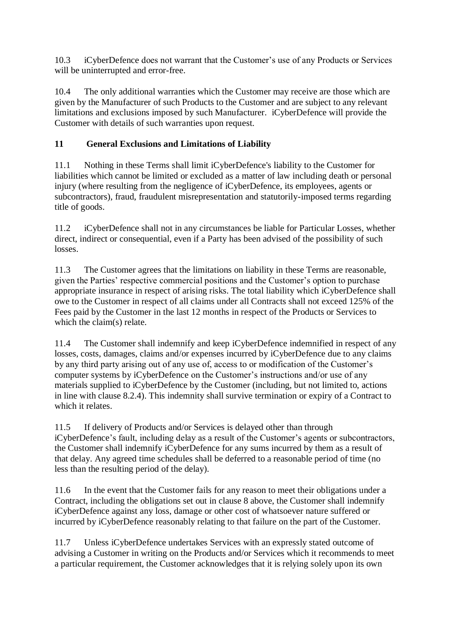10.3 iCyberDefence does not warrant that the Customer's use of any Products or Services will be uninterrupted and error-free.

10.4 The only additional warranties which the Customer may receive are those which are given by the Manufacturer of such Products to the Customer and are subject to any relevant limitations and exclusions imposed by such Manufacturer. iCyberDefence will provide the Customer with details of such warranties upon request.

### **11 General Exclusions and Limitations of Liability**

11.1 Nothing in these Terms shall limit iCyberDefence's liability to the Customer for liabilities which cannot be limited or excluded as a matter of law including death or personal injury (where resulting from the negligence of iCyberDefence, its employees, agents or subcontractors), fraud, fraudulent misrepresentation and statutorily-imposed terms regarding title of goods.

11.2 iCyberDefence shall not in any circumstances be liable for Particular Losses, whether direct, indirect or consequential, even if a Party has been advised of the possibility of such losses.

11.3 The Customer agrees that the limitations on liability in these Terms are reasonable, given the Parties' respective commercial positions and the Customer's option to purchase appropriate insurance in respect of arising risks. The total liability which iCyberDefence shall owe to the Customer in respect of all claims under all Contracts shall not exceed 125% of the Fees paid by the Customer in the last 12 months in respect of the Products or Services to which the claim(s) relate.

11.4 The Customer shall indemnify and keep iCyberDefence indemnified in respect of any losses, costs, damages, claims and/or expenses incurred by iCyberDefence due to any claims by any third party arising out of any use of, access to or modification of the Customer's computer systems by iCyberDefence on the Customer's instructions and/or use of any materials supplied to iCyberDefence by the Customer (including, but not limited to, actions in line with clause 8.2.4). This indemnity shall survive termination or expiry of a Contract to which it relates.

11.5 If delivery of Products and/or Services is delayed other than through iCyberDefence's fault, including delay as a result of the Customer's agents or subcontractors, the Customer shall indemnify iCyberDefence for any sums incurred by them as a result of that delay. Any agreed time schedules shall be deferred to a reasonable period of time (no less than the resulting period of the delay).

11.6 In the event that the Customer fails for any reason to meet their obligations under a Contract, including the obligations set out in clause 8 above, the Customer shall indemnify iCyberDefence against any loss, damage or other cost of whatsoever nature suffered or incurred by iCyberDefence reasonably relating to that failure on the part of the Customer.

11.7 Unless iCyberDefence undertakes Services with an expressly stated outcome of advising a Customer in writing on the Products and/or Services which it recommends to meet a particular requirement, the Customer acknowledges that it is relying solely upon its own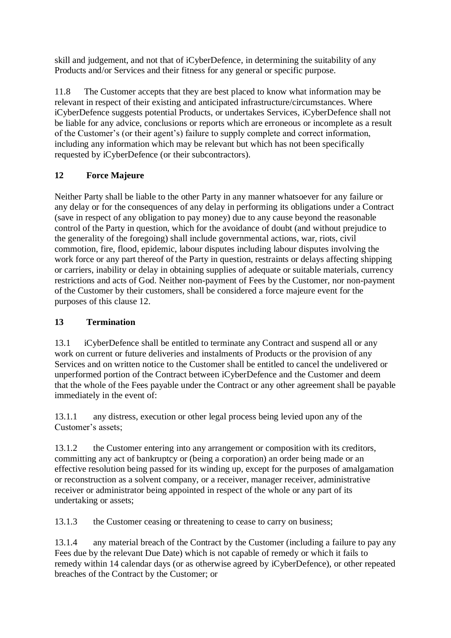skill and judgement, and not that of iCyberDefence, in determining the suitability of any Products and/or Services and their fitness for any general or specific purpose.

11.8 The Customer accepts that they are best placed to know what information may be relevant in respect of their existing and anticipated infrastructure/circumstances. Where iCyberDefence suggests potential Products, or undertakes Services, iCyberDefence shall not be liable for any advice, conclusions or reports which are erroneous or incomplete as a result of the Customer's (or their agent's) failure to supply complete and correct information, including any information which may be relevant but which has not been specifically requested by iCyberDefence (or their subcontractors).

# **12 Force Majeure**

Neither Party shall be liable to the other Party in any manner whatsoever for any failure or any delay or for the consequences of any delay in performing its obligations under a Contract (save in respect of any obligation to pay money) due to any cause beyond the reasonable control of the Party in question, which for the avoidance of doubt (and without prejudice to the generality of the foregoing) shall include governmental actions, war, riots, civil commotion, fire, flood, epidemic, labour disputes including labour disputes involving the work force or any part thereof of the Party in question, restraints or delays affecting shipping or carriers, inability or delay in obtaining supplies of adequate or suitable materials, currency restrictions and acts of God. Neither non-payment of Fees by the Customer, nor non-payment of the Customer by their customers, shall be considered a force majeure event for the purposes of this clause 12.

### **13 Termination**

13.1 iCyberDefence shall be entitled to terminate any Contract and suspend all or any work on current or future deliveries and instalments of Products or the provision of any Services and on written notice to the Customer shall be entitled to cancel the undelivered or unperformed portion of the Contract between iCyberDefence and the Customer and deem that the whole of the Fees payable under the Contract or any other agreement shall be payable immediately in the event of:

13.1.1 any distress, execution or other legal process being levied upon any of the Customer's assets;

13.1.2 the Customer entering into any arrangement or composition with its creditors, committing any act of bankruptcy or (being a corporation) an order being made or an effective resolution being passed for its winding up, except for the purposes of amalgamation or reconstruction as a solvent company, or a receiver, manager receiver, administrative receiver or administrator being appointed in respect of the whole or any part of its undertaking or assets;

13.1.3 the Customer ceasing or threatening to cease to carry on business;

13.1.4 any material breach of the Contract by the Customer (including a failure to pay any Fees due by the relevant Due Date) which is not capable of remedy or which it fails to remedy within 14 calendar days (or as otherwise agreed by iCyberDefence), or other repeated breaches of the Contract by the Customer; or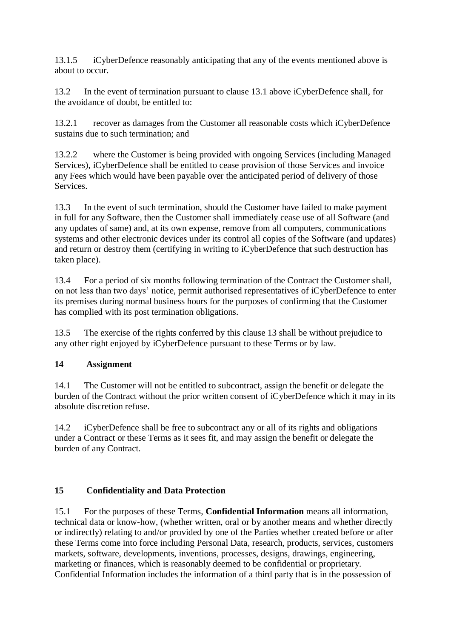13.1.5 iCyberDefence reasonably anticipating that any of the events mentioned above is about to occur.

13.2 In the event of termination pursuant to clause 13.1 above iCyberDefence shall, for the avoidance of doubt, be entitled to:

13.2.1 recover as damages from the Customer all reasonable costs which iCyberDefence sustains due to such termination; and

13.2.2 where the Customer is being provided with ongoing Services (including Managed Services), iCyberDefence shall be entitled to cease provision of those Services and invoice any Fees which would have been payable over the anticipated period of delivery of those **Services** 

13.3 In the event of such termination, should the Customer have failed to make payment in full for any Software, then the Customer shall immediately cease use of all Software (and any updates of same) and, at its own expense, remove from all computers, communications systems and other electronic devices under its control all copies of the Software (and updates) and return or destroy them (certifying in writing to iCyberDefence that such destruction has taken place).

13.4 For a period of six months following termination of the Contract the Customer shall, on not less than two days' notice, permit authorised representatives of iCyberDefence to enter its premises during normal business hours for the purposes of confirming that the Customer has complied with its post termination obligations.

13.5 The exercise of the rights conferred by this clause 13 shall be without prejudice to any other right enjoyed by iCyberDefence pursuant to these Terms or by law.

### **14 Assignment**

14.1 The Customer will not be entitled to subcontract, assign the benefit or delegate the burden of the Contract without the prior written consent of iCyberDefence which it may in its absolute discretion refuse.

14.2 iCyberDefence shall be free to subcontract any or all of its rights and obligations under a Contract or these Terms as it sees fit, and may assign the benefit or delegate the burden of any Contract.

### **15 Confidentiality and Data Protection**

15.1 For the purposes of these Terms, **Confidential Information** means all information, technical data or know-how, (whether written, oral or by another means and whether directly or indirectly) relating to and/or provided by one of the Parties whether created before or after these Terms come into force including Personal Data, research, products, services, customers markets, software, developments, inventions, processes, designs, drawings, engineering, marketing or finances, which is reasonably deemed to be confidential or proprietary. Confidential Information includes the information of a third party that is in the possession of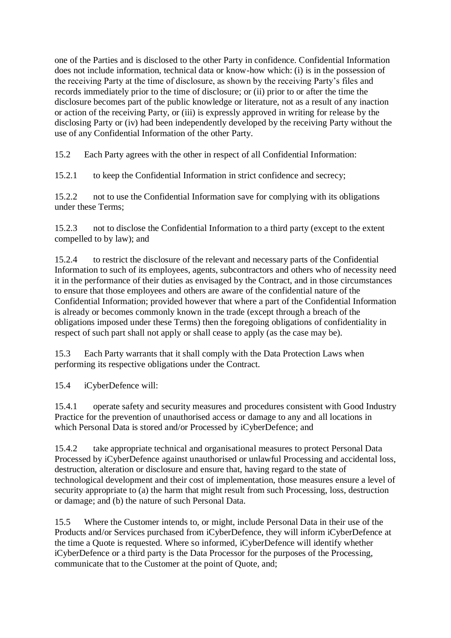one of the Parties and is disclosed to the other Party in confidence. Confidential Information does not include information, technical data or know-how which: (i) is in the possession of the receiving Party at the time of disclosure, as shown by the receiving Party's files and records immediately prior to the time of disclosure; or (ii) prior to or after the time the disclosure becomes part of the public knowledge or literature, not as a result of any inaction or action of the receiving Party, or (iii) is expressly approved in writing for release by the disclosing Party or (iv) had been independently developed by the receiving Party without the use of any Confidential Information of the other Party.

15.2 Each Party agrees with the other in respect of all Confidential Information:

15.2.1 to keep the Confidential Information in strict confidence and secrecy;

15.2.2 not to use the Confidential Information save for complying with its obligations under these Terms;

15.2.3 not to disclose the Confidential Information to a third party (except to the extent compelled to by law); and

15.2.4 to restrict the disclosure of the relevant and necessary parts of the Confidential Information to such of its employees, agents, subcontractors and others who of necessity need it in the performance of their duties as envisaged by the Contract, and in those circumstances to ensure that those employees and others are aware of the confidential nature of the Confidential Information; provided however that where a part of the Confidential Information is already or becomes commonly known in the trade (except through a breach of the obligations imposed under these Terms) then the foregoing obligations of confidentiality in respect of such part shall not apply or shall cease to apply (as the case may be).

15.3 Each Party warrants that it shall comply with the Data Protection Laws when performing its respective obligations under the Contract.

15.4 iCyberDefence will:

15.4.1 operate safety and security measures and procedures consistent with Good Industry Practice for the prevention of unauthorised access or damage to any and all locations in which Personal Data is stored and/or Processed by iCyberDefence; and

15.4.2 take appropriate technical and organisational measures to protect Personal Data Processed by iCyberDefence against unauthorised or unlawful Processing and accidental loss, destruction, alteration or disclosure and ensure that, having regard to the state of technological development and their cost of implementation, those measures ensure a level of security appropriate to (a) the harm that might result from such Processing, loss, destruction or damage; and (b) the nature of such Personal Data.

15.5 Where the Customer intends to, or might, include Personal Data in their use of the Products and/or Services purchased from iCyberDefence, they will inform iCyberDefence at the time a Quote is requested. Where so informed, iCyberDefence will identify whether iCyberDefence or a third party is the Data Processor for the purposes of the Processing, communicate that to the Customer at the point of Quote, and;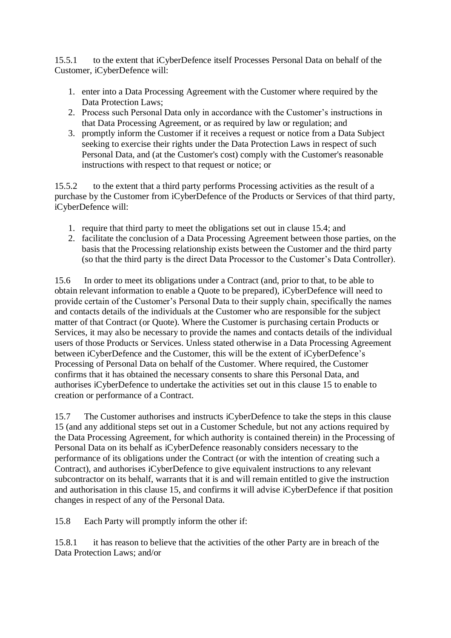15.5.1 to the extent that iCyberDefence itself Processes Personal Data on behalf of the Customer, iCyberDefence will:

- 1. enter into a Data Processing Agreement with the Customer where required by the Data Protection Laws;
- 2. Process such Personal Data only in accordance with the Customer's instructions in that Data Processing Agreement, or as required by law or regulation; and
- 3. promptly inform the Customer if it receives a request or notice from a Data Subject seeking to exercise their rights under the Data Protection Laws in respect of such Personal Data, and (at the Customer's cost) comply with the Customer's reasonable instructions with respect to that request or notice; or

15.5.2 to the extent that a third party performs Processing activities as the result of a purchase by the Customer from iCyberDefence of the Products or Services of that third party, iCyberDefence will:

- 1. require that third party to meet the obligations set out in clause 15.4; and
- 2. facilitate the conclusion of a Data Processing Agreement between those parties, on the basis that the Processing relationship exists between the Customer and the third party (so that the third party is the direct Data Processor to the Customer's Data Controller).

15.6 In order to meet its obligations under a Contract (and, prior to that, to be able to obtain relevant information to enable a Quote to be prepared), iCyberDefence will need to provide certain of the Customer's Personal Data to their supply chain, specifically the names and contacts details of the individuals at the Customer who are responsible for the subject matter of that Contract (or Quote). Where the Customer is purchasing certain Products or Services, it may also be necessary to provide the names and contacts details of the individual users of those Products or Services. Unless stated otherwise in a Data Processing Agreement between iCyberDefence and the Customer, this will be the extent of iCyberDefence's Processing of Personal Data on behalf of the Customer. Where required, the Customer confirms that it has obtained the necessary consents to share this Personal Data, and authorises iCyberDefence to undertake the activities set out in this clause 15 to enable to creation or performance of a Contract.

15.7 The Customer authorises and instructs iCyberDefence to take the steps in this clause 15 (and any additional steps set out in a Customer Schedule, but not any actions required by the Data Processing Agreement, for which authority is contained therein) in the Processing of Personal Data on its behalf as iCyberDefence reasonably considers necessary to the performance of its obligations under the Contract (or with the intention of creating such a Contract), and authorises iCyberDefence to give equivalent instructions to any relevant subcontractor on its behalf, warrants that it is and will remain entitled to give the instruction and authorisation in this clause 15, and confirms it will advise iCyberDefence if that position changes in respect of any of the Personal Data.

15.8 Each Party will promptly inform the other if:

15.8.1 it has reason to believe that the activities of the other Party are in breach of the Data Protection Laws; and/or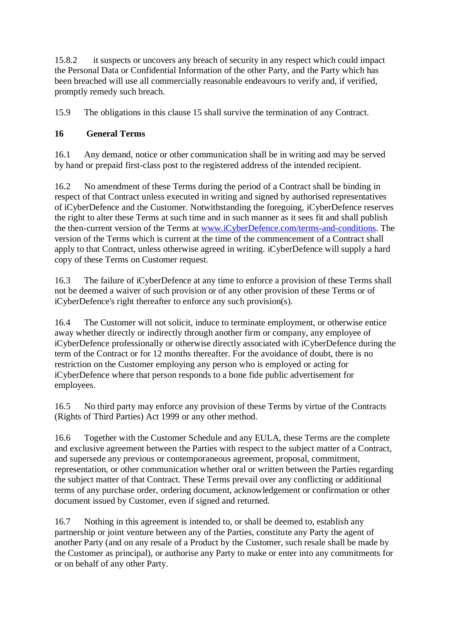15.8.2 it suspects or uncovers any breach of security in any respect which could impact the Personal Data or Confidential Information of the other Party, and the Party which has been breached will use all commercially reasonable endeavours to verify and, if verified, promptly remedy such breach.

15.9 The obligations in this clause 15 shall survive the termination of any Contract.

#### **16 General Terms**

16.1 Any demand, notice or other communication shall be in writing and may be served by hand or prepaid first-class post to the registered address of the intended recipient.

16.2 No amendment of these Terms during the period of a Contract shall be binding in respect of that Contract unless executed in writing and signed by authorised representatives of iCyberDefence and the Customer. Notwithstanding the foregoing, iCyberDefence reserves the right to alter these Terms at such time and in such manner as it sees fit and shall publish the then-current version of the Terms at [www.iCyberDefence.com/terms-and-conditions.](https://www.icyberdefence.com/terms-and-conditions) The version of the Terms which is current at the time of the commencement of a Contract shall apply to that Contract, unless otherwise agreed in writing. iCyberDefence will supply a hard copy of these Terms on Customer request.

16.3 The failure of iCyberDefence at any time to enforce a provision of these Terms shall not be deemed a waiver of such provision or of any other provision of these Terms or of iCyberDefence's right thereafter to enforce any such provision(s).

16.4 The Customer will not solicit, induce to terminate employment, or otherwise entice away whether directly or indirectly through another firm or company, any employee of iCyberDefence professionally or otherwise directly associated with iCyberDefence during the term of the Contract or for 12 months thereafter. For the avoidance of doubt, there is no restriction on the Customer employing any person who is employed or acting for iCyberDefence where that person responds to a bone fide public advertisement for employees.

16.5 No third party may enforce any provision of these Terms by virtue of the Contracts (Rights of Third Parties) Act 1999 or any other method.

16.6 Together with the Customer Schedule and any EULA, these Terms are the complete and exclusive agreement between the Parties with respect to the subject matter of a Contract, and supersede any previous or contemporaneous agreement, proposal, commitment, representation, or other communication whether oral or written between the Parties regarding the subject matter of that Contract. These Terms prevail over any conflicting or additional terms of any purchase order, ordering document, acknowledgement or confirmation or other document issued by Customer, even if signed and returned.

16.7 Nothing in this agreement is intended to, or shall be deemed to, establish any partnership or joint venture between any of the Parties, constitute any Party the agent of another Party (and on any resale of a Product by the Customer, such resale shall be made by the Customer as principal), or authorise any Party to make or enter into any commitments for or on behalf of any other Party.